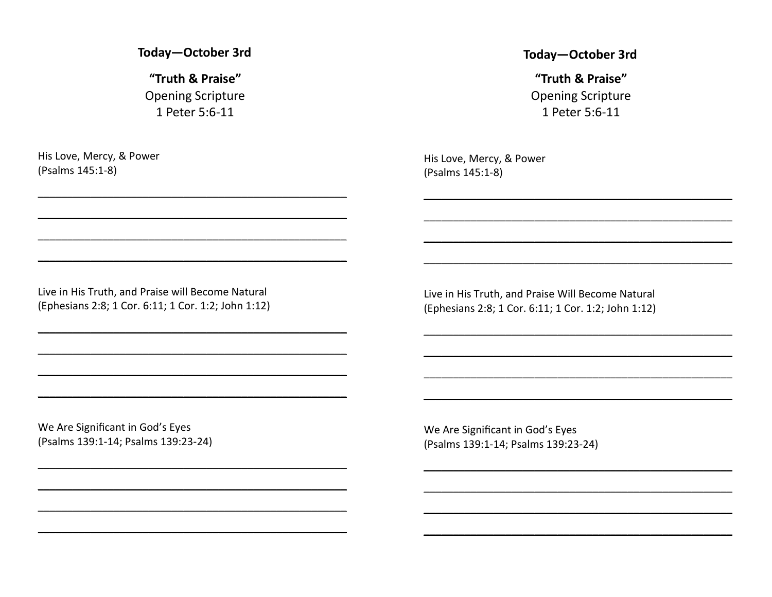Today-October 3rd

"Truth & Praise" **Opening Scripture** 1 Peter 5:6-11

His Love, Mercy, & Power (Psalms 145:1-8)

#### Today-October 3rd

"Truth & Praise" **Opening Scripture** 1 Peter 5:6-11

His Love, Mercy, & Power (Psalms 145:1-8)

Live in His Truth, and Praise will Become Natural (Ephesians 2:8; 1 Cor. 6:11; 1 Cor. 1:2; John 1:12)

Live in His Truth, and Praise Will Become Natural (Ephesians 2:8; 1 Cor. 6:11; 1 Cor. 1:2; John 1:12)

We Are Significant in God's Eyes (Psalms 139:1-14; Psalms 139:23-24)

We Are Significant in God's Eyes (Psalms 139:1-14; Psalms 139:23-24)